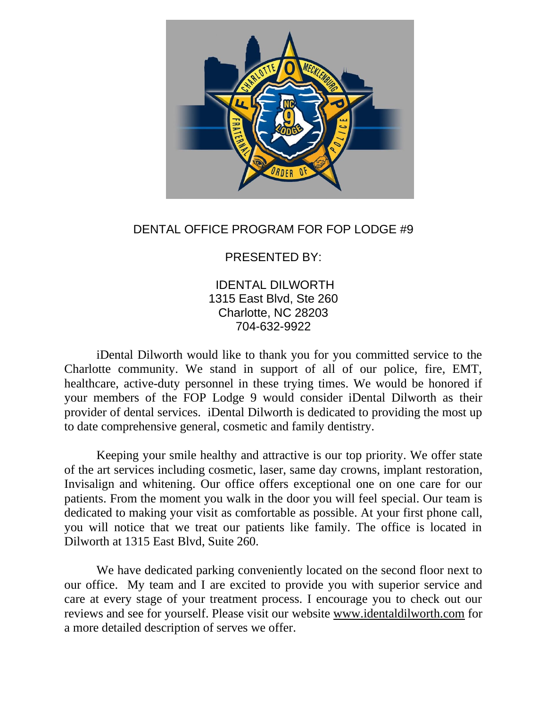

## DENTAL OFFICE PROGRAM FOR FOP LODGE #9

## PRESENTED BY:

IDENTAL DILWORTH 1315 East Blvd, Ste 260 Charlotte, NC 28203 704-632-9922

iDental Dilworth would like to thank you for you committed service to the Charlotte community. We stand in support of all of our police, fire, EMT, healthcare, active-duty personnel in these trying times. We would be honored if your members of the FOP Lodge 9 would consider iDental Dilworth as their provider of dental services. iDental Dilworth is dedicated to providing the most up to date comprehensive general, cosmetic and family dentistry.

Keeping your smile healthy and attractive is our top priority. We offer state of the art services including cosmetic, laser, same day crowns, implant restoration, Invisalign and whitening. Our office offers exceptional one on one care for our patients. From the moment you walk in the door you will feel special. Our team is dedicated to making your visit as comfortable as possible. At your first phone call, you will notice that we treat our patients like family. The office is located in Dilworth at 1315 East Blvd, Suite 260.

We have dedicated parking conveniently located on the second floor next to our office. My team and I are excited to provide you with superior service and care at every stage of your treatment process. I encourage you to check out our reviews and see for yourself. Please visit our website [www.identaldilworth.com](http://www.identaldilworth.com/) for a more detailed description of serves we offer.